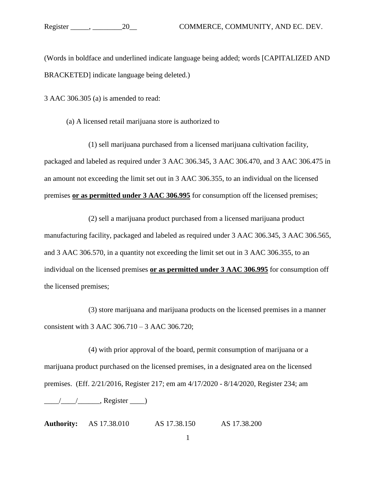(Words in boldface and underlined indicate language being added; words [CAPITALIZED AND BRACKETED] indicate language being deleted.)

3 AAC 306.305 (a) is amended to read:

(a) A licensed retail marijuana store is authorized to

(1) sell marijuana purchased from a licensed marijuana cultivation facility, packaged and labeled as required under 3 AAC 306.345, 3 AAC 306.470, and 3 AAC 306.475 in an amount not exceeding the limit set out in 3 AAC 306.355, to an individual on the licensed premises **or as permitted under 3 AAC 306.995** for consumption off the licensed premises;

(2) sell a marijuana product purchased from a licensed marijuana product manufacturing facility, packaged and labeled as required under 3 AAC 306.345, 3 AAC 306.565, and 3 AAC 306.570, in a quantity not exceeding the limit set out in 3 AAC 306.355, to an individual on the licensed premises **or as permitted under 3 AAC 306.995** for consumption off the licensed premises;

(3) store marijuana and marijuana products on the licensed premises in a manner consistent with 3 AAC 306.710 – 3 AAC 306.720;

(4) with prior approval of the board, permit consumption of marijuana or a marijuana product purchased on the licensed premises, in a designated area on the licensed premises. (Eff. 2/21/2016, Register 217; em am 4/17/2020 - 8/14/2020, Register 234; am  $\frac{1}{\sqrt{2\pi}}$ , Register  $\frac{1}{\sqrt{2\pi}}$ 

**Authority:** AS 17.38.010 AS 17.38.150 AS 17.38.200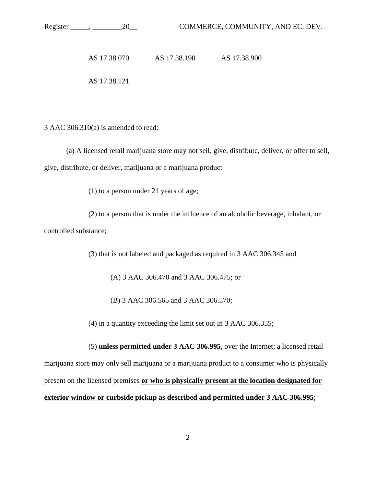3 AAC 306.310(a) is amended to read:

(a) A licensed retail marijuana store may not sell, give, distribute, deliver, or offer to sell, give, distribute, or deliver, marijuana or a marijuana product

(1) to a person under 21 years of age;

(2) to a person that is under the influence of an alcoholic beverage, inhalant, or controlled substance;

(3) that is not labeled and packaged as required in 3 AAC 306.345 and

(A) 3 AAC 306.470 and 3 AAC 306.475; or

(B) 3 AAC 306.565 and 3 AAC 306.570;

(4) in a quantity exceeding the limit set out in 3 AAC 306.355;

(5) **unless permitted under 3 AAC 306.995,** over the Internet; a licensed retail marijuana store may only sell marijuana or a marijuana product to a consumer who is physically present on the licensed premises **or who is physically present at the location designated for exterior window or curbside pickup as described and permitted under 3 AAC 306.995**;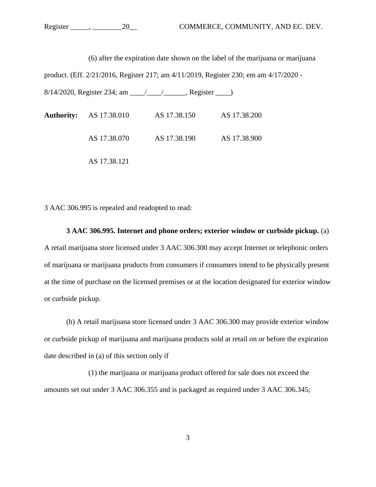(6) after the expiration date shown on the label of the marijuana or marijuana

product. (Eff. 2/21/2016, Register 217; am 4/11/2019, Register 230; em am 4/17/2020 -

8/14/2020, Register 234; am \_\_\_\_/\_\_\_\_/\_\_\_\_\_\_, Register \_\_\_\_)

| <b>Authority:</b> AS 17.38.010 | AS 17.38.150 | AS 17.38.200 |
|--------------------------------|--------------|--------------|
| AS 17.38.070                   | AS 17.38.190 | AS 17.38.900 |
| AS 17.38.121                   |              |              |

3 AAC 306.995 is repealed and readopted to read:

**3 AAC 306.995. Internet and phone orders; exterior window or curbside pickup.** (a) A retail marijuana store licensed under 3 AAC 306.300 may accept Internet or telephonic orders of marijuana or marijuana products from consumers if consumers intend to be physically present at the time of purchase on the licensed premises or at the location designated for exterior window or curbside pickup.

(b) A retail marijuana store licensed under 3 AAC 306.300 may provide exterior window or curbside pickup of marijuana and marijuana products sold at retail on or before the expiration date described in (a) of this section only if

 (1) the marijuana or marijuana product offered for sale does not exceed the amounts set out under 3 AAC 306.355 and is packaged as required under 3 AAC 306.345;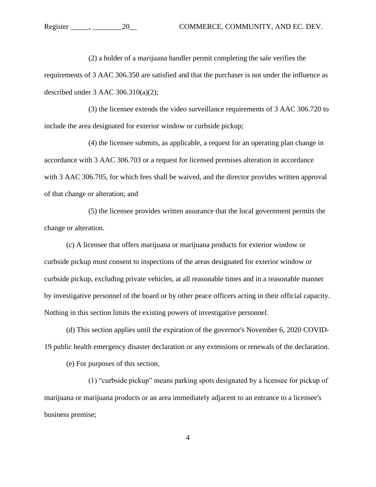(2) a holder of a marijuana handler permit completing the sale verifies the requirements of 3 AAC 306.350 are satisfied and that the purchaser is not under the influence as described under 3 AAC 306.310(a)(2);

(3) the licensee extends the video surveillance requirements of 3 AAC 306.720 to include the area designated for exterior window or curbside pickup;

(4) the licensee submits, as applicable, a request for an operating plan change in accordance with 3 AAC 306.703 or a request for licensed premises alteration in accordance with 3 AAC 306.705, for which fees shall be waived, and the director provides written approval of that change or alteration; and

(5) the licensee provides written assurance that the local government permits the change or alteration.

(c) A licensee that offers marijuana or marijuana products for exterior window or curbside pickup must consent to inspections of the areas designated for exterior window or curbside pickup, excluding private vehicles, at all reasonable times and in a reasonable manner by investigative personnel of the board or by other peace officers acting in their official capacity. Nothing in this section limits the existing powers of investigative personnel.

(d) This section applies until the expiration of the governor's November 6, 2020 COVID-19 public health emergency disaster declaration or any extensions or renewals of the declaration.

(e) For purposes of this section,

(1) "curbside pickup" means parking spots designated by a licensee for pickup of marijuana or marijuana products or an area immediately adjacent to an entrance to a licensee's business premise;

4